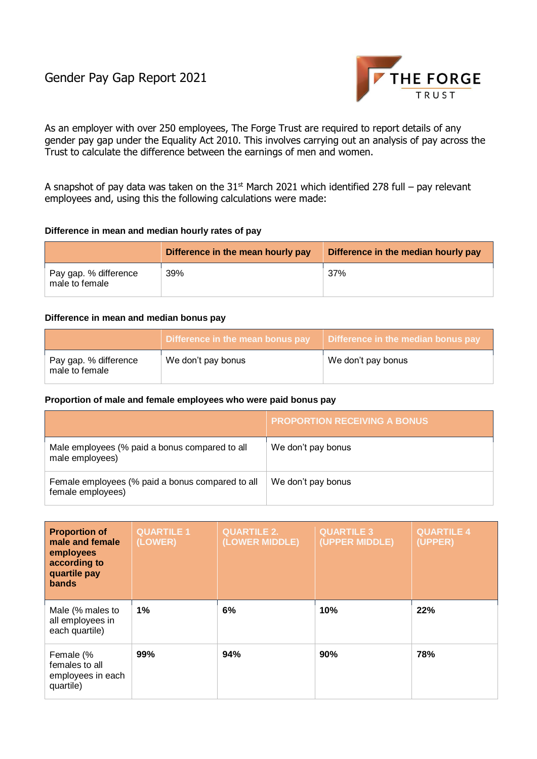

As an employer with over 250 employees, The Forge Trust are required to report details of any gender pay gap under the Equality Act 2010. This involves carrying out an analysis of pay across the Trust to calculate the difference between the earnings of men and women.

A snapshot of pay data was taken on the  $31<sup>st</sup>$  March 2021 which identified 278 full – pay relevant employees and, using this the following calculations were made:

## **Difference in mean and median hourly rates of pay**

|                                         | Difference in the mean hourly pay | Difference in the median hourly pay |
|-----------------------------------------|-----------------------------------|-------------------------------------|
| Pay gap. % difference<br>male to female | 39%                               | 37%                                 |

## **Difference in mean and median bonus pay**

|                                         | Difference in the mean bonus pay | Difference in the median bonus pay |
|-----------------------------------------|----------------------------------|------------------------------------|
| Pay gap. % difference<br>male to female | We don't pay bonus               | We don't pay bonus                 |

## **Proportion of male and female employees who were paid bonus pay**

|                                                                       | <b>PROPORTION RECEIVING A BONUS</b> |
|-----------------------------------------------------------------------|-------------------------------------|
| Male employees (% paid a bonus compared to all<br>male employees)     | We don't pay bonus                  |
| Female employees (% paid a bonus compared to all<br>female employees) | We don't pay bonus                  |

| <b>Proportion of</b><br>male and female<br>employees<br>according to<br>quartile pay<br><b>bands</b> | <b>QUARTILE 1</b><br>(LOWER) | <b>QUARTILE 2.</b><br>(LOWER MIDDLE) | <b>QUARTILE 3</b><br>(UPPER MIDDLE) | <b>QUARTILE 4</b><br>(UPPER) |
|------------------------------------------------------------------------------------------------------|------------------------------|--------------------------------------|-------------------------------------|------------------------------|
| Male (% males to<br>all employees in<br>each quartile)                                               | 1%                           | 6%                                   | 10%                                 | 22%                          |
| Female (%<br>females to all<br>employees in each<br>quartile)                                        | 99%                          | 94%                                  | 90%                                 | 78%                          |